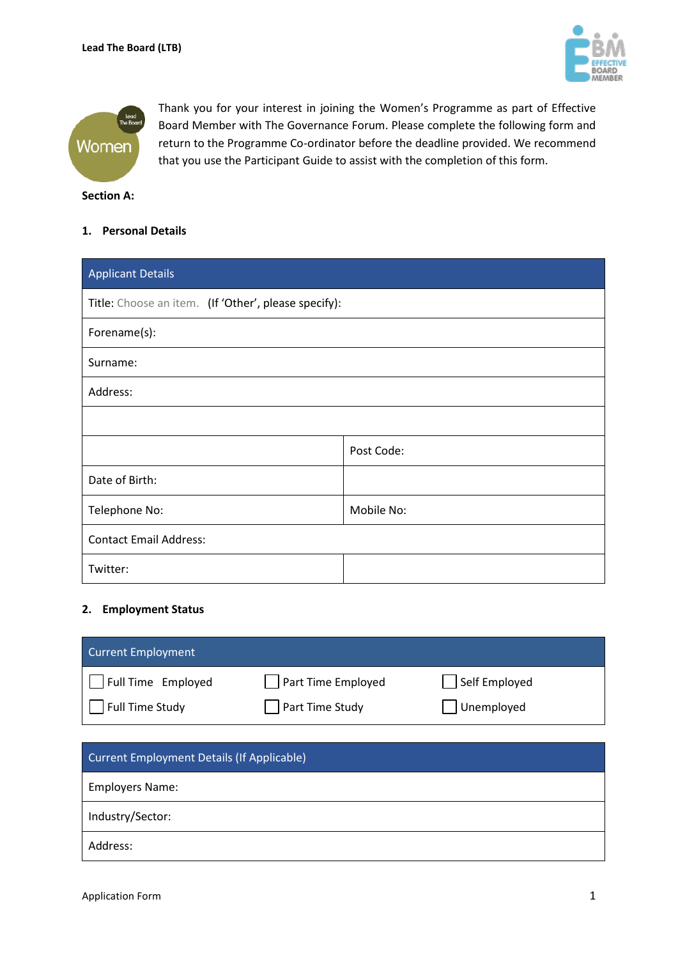



Thank you for your interest in joining the Women's Programme as part of Effective Board Member with The Governance Forum. Please complete the following form and return to the Programme Co-ordinator before the deadline provided. We recommend that you use the Participant Guide to assist with the completion of this form.

#### **Section A:**

# **1. Personal Details**

| <b>Applicant Details</b>                             |            |  |
|------------------------------------------------------|------------|--|
| Title: Choose an item. (If 'Other', please specify): |            |  |
| Forename(s):                                         |            |  |
| Surname:                                             |            |  |
| Address:                                             |            |  |
|                                                      |            |  |
|                                                      | Post Code: |  |
| Date of Birth:                                       |            |  |
| Telephone No:                                        | Mobile No: |  |
| <b>Contact Email Address:</b>                        |            |  |
| Twitter:                                             |            |  |

## **2. Employment Status**

| Current Employment |                    |               |
|--------------------|--------------------|---------------|
| Full Time Employed | Part Time Employed | Self Employed |
| Full Time Study    | Part Time Study    | Unemployed    |

| <b>Current Employment Details (If Applicable)</b> |
|---------------------------------------------------|
| <b>Employers Name:</b>                            |
| Industry/Sector:                                  |
| Address:                                          |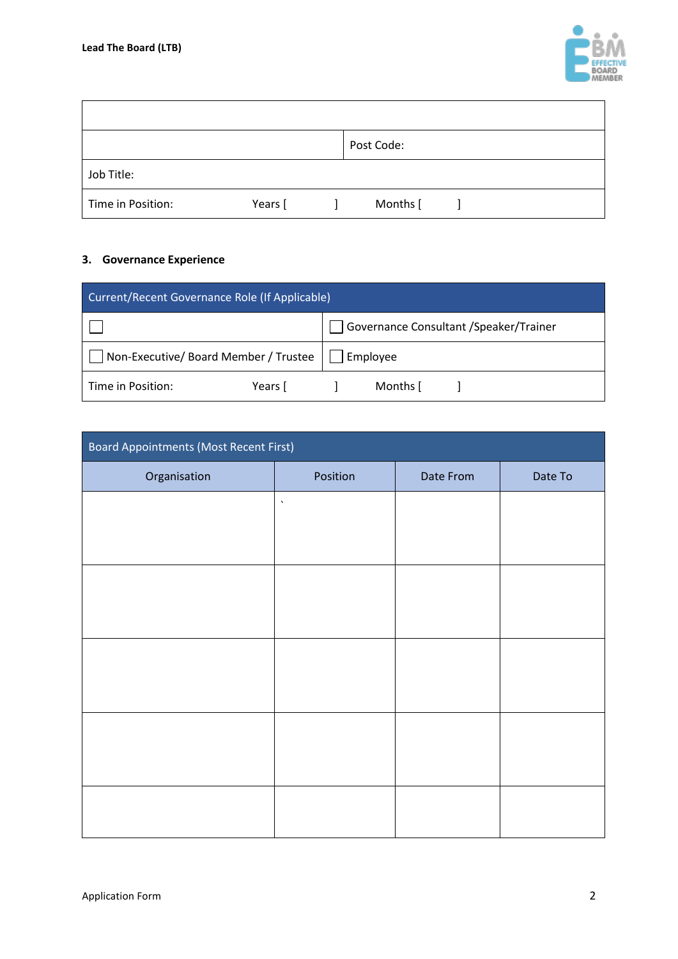

|                   |         | Post Code: |  |  |
|-------------------|---------|------------|--|--|
| Job Title:        |         |            |  |  |
| Time in Position: | Years [ | Months [   |  |  |

# **3. Governance Experience**

| Current/Recent Governance Role (If Applicable)        |         |  |                                        |  |
|-------------------------------------------------------|---------|--|----------------------------------------|--|
|                                                       |         |  | Governance Consultant /Speaker/Trainer |  |
| Non-Executive/ Board Member / Trustee $\Box$ Employee |         |  |                                        |  |
| Time in Position:                                     | Years [ |  | Months [                               |  |

| <b>Board Appointments (Most Recent First)</b> |                    |           |         |  |
|-----------------------------------------------|--------------------|-----------|---------|--|
| Organisation                                  | Position           | Date From | Date To |  |
|                                               | $\bar{\mathbf{v}}$ |           |         |  |
|                                               |                    |           |         |  |
|                                               |                    |           |         |  |
|                                               |                    |           |         |  |
|                                               |                    |           |         |  |
|                                               |                    |           |         |  |
|                                               |                    |           |         |  |
|                                               |                    |           |         |  |
|                                               |                    |           |         |  |
|                                               |                    |           |         |  |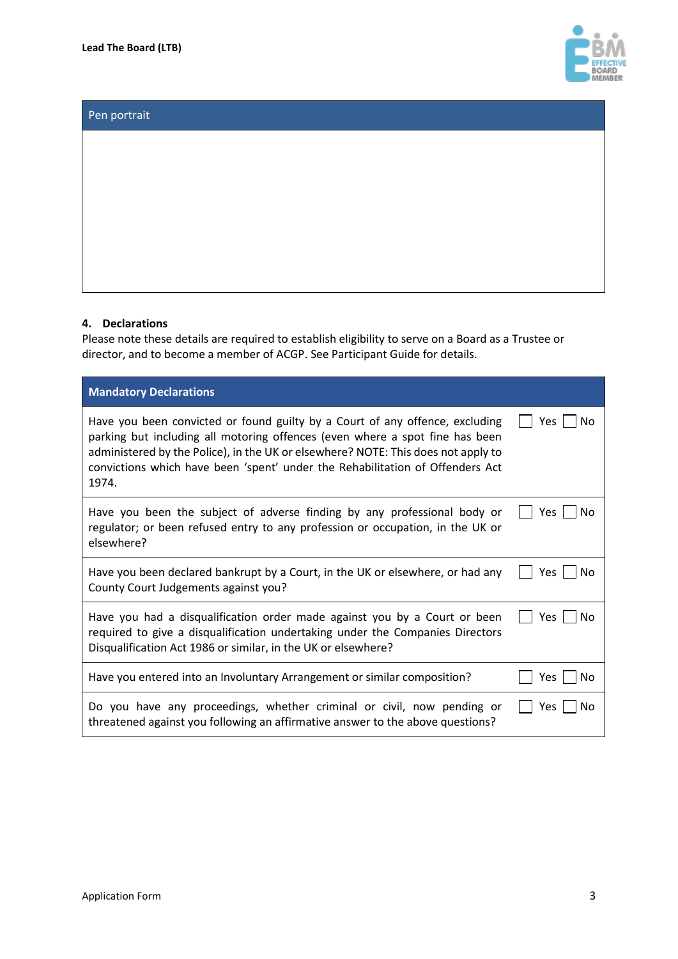

# Pen portrait

#### **4. Declarations**

Please note these details are required to establish eligibility to serve on a Board as a Trustee or director, and to become a member of ACGP. See Participant Guide for details.

| <b>Mandatory Declarations</b>                                                                                                                                                                                                                                                                                                               |                   |
|---------------------------------------------------------------------------------------------------------------------------------------------------------------------------------------------------------------------------------------------------------------------------------------------------------------------------------------------|-------------------|
| Have you been convicted or found guilty by a Court of any offence, excluding<br>parking but including all motoring offences (even where a spot fine has been<br>administered by the Police), in the UK or elsewhere? NOTE: This does not apply to<br>convictions which have been 'spent' under the Rehabilitation of Offenders Act<br>1974. | Yes<br>No         |
| Have you been the subject of adverse finding by any professional body or<br>regulator; or been refused entry to any profession or occupation, in the UK or<br>elsewhere?                                                                                                                                                                    | Yes.<br>No        |
| Have you been declared bankrupt by a Court, in the UK or elsewhere, or had any<br>County Court Judgements against you?                                                                                                                                                                                                                      | <b>Yes</b><br>No. |
| Have you had a disqualification order made against you by a Court or been<br>required to give a disqualification undertaking under the Companies Directors<br>Disqualification Act 1986 or similar, in the UK or elsewhere?                                                                                                                 | Yes<br>No         |
| Have you entered into an Involuntary Arrangement or similar composition?                                                                                                                                                                                                                                                                    | Yes<br>Nο         |
| Do you have any proceedings, whether criminal or civil, now pending or<br>threatened against you following an affirmative answer to the above questions?                                                                                                                                                                                    | Yes<br>No         |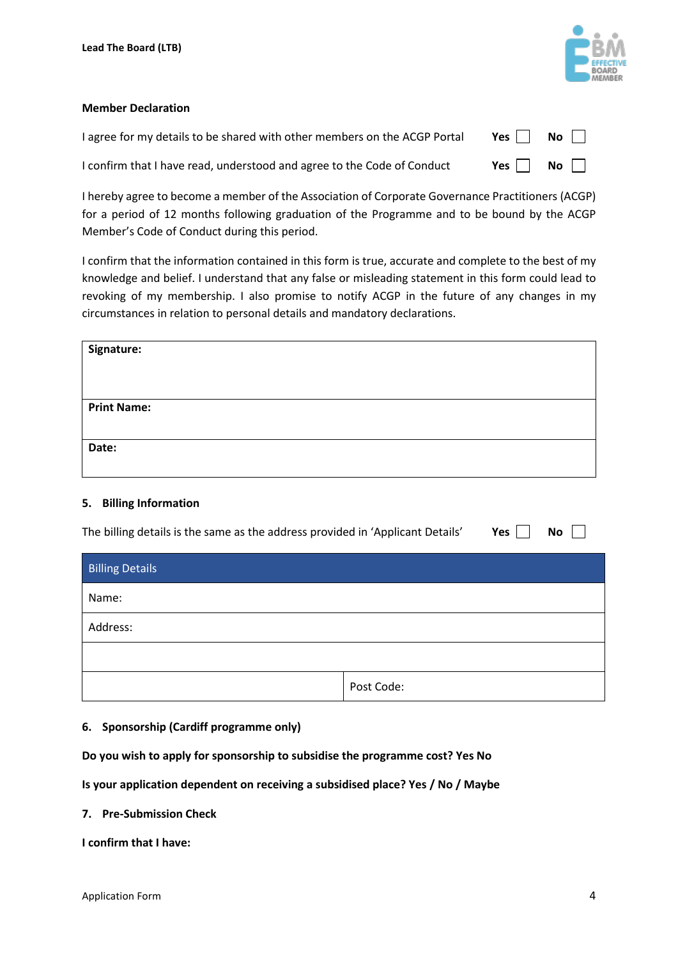

### **Member Declaration**

| I agree for my details to be shared with other members on the ACGP Portal | Yes $\Box$ No $\Box$ |  |
|---------------------------------------------------------------------------|----------------------|--|
| I confirm that I have read, understood and agree to the Code of Conduct   | Yes $\Box$ No $\Box$ |  |

I hereby agree to become a member of the Association of Corporate Governance Practitioners (ACGP) for a period of 12 months following graduation of the Programme and to be bound by the ACGP Member's Code of Conduct during this period.

I confirm that the information contained in this form is true, accurate and complete to the best of my knowledge and belief. I understand that any false or misleading statement in this form could lead to revoking of my membership. I also promise to notify ACGP in the future of any changes in my circumstances in relation to personal details and mandatory declarations.

| Signature:         |  |  |
|--------------------|--|--|
|                    |  |  |
|                    |  |  |
| <b>Print Name:</b> |  |  |
|                    |  |  |
| Date:              |  |  |
|                    |  |  |

# **5. Billing Information**

| The billing details is the same as the address provided in 'Applicant Details' |            | Yes | <b>No</b> |
|--------------------------------------------------------------------------------|------------|-----|-----------|
| <b>Billing Details</b>                                                         |            |     |           |
| Name:                                                                          |            |     |           |
| Address:                                                                       |            |     |           |
|                                                                                |            |     |           |
|                                                                                | Post Code: |     |           |

# **6. Sponsorship (Cardiff programme only)**

**Do you wish to apply for sponsorship to subsidise the programme cost? Yes No**

**Is your application dependent on receiving a subsidised place? Yes / No / Maybe** 

**7. Pre-Submission Check**

**I confirm that I have:**